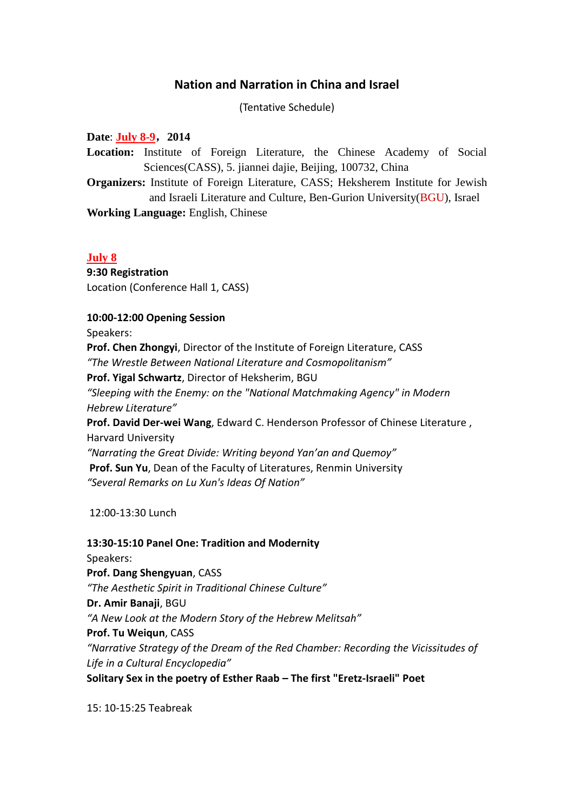# **Nation and Narration in China and Israel**

(Tentative Schedule)

**Date**: **July 8-9**,**2014 Location:** Institute of Foreign Literature, the Chinese Academy of Social Sciences(CASS), 5. jiannei dajie, Beijing, 100732, China **Organizers:** Institute of Foreign Literature, CASS; Heksherem Institute for Jewish and Israeli Literature and Culture, Ben-Gurion University(BGU), Israel **Working Language:** English, Chinese

#### **July 8**

**9:30 Registration**  Location (Conference Hall 1, CASS)

### **10:00-12:00 Opening Session**

Speakers:

**Prof. Chen Zhongyi**, Director of the Institute of Foreign Literature, CASS

*"The Wrestle Between National Literature and Cosmopolitanism"*

**Prof. Yigal Schwartz**, Director of Heksherim, BGU

*"Sleeping with the Enemy: on the "National Matchmaking Agency" in Modern Hebrew Literature"*

**Prof. David Der-wei Wang**, Edward C. Henderson Professor of Chinese Literature , Harvard University

*"Narrating the Great Divide: Writing beyond Yan'an and Quemoy"* **Prof. Sun Yu**, Dean of the Faculty of Literatures, Renmin University *"Several Remarks on Lu Xun's Ideas Of Nation"*

12:00-13:30 Lunch

## **13:30-15:10 Panel One: Tradition and Modernity**

Speakers: **Prof. Dang Shengyuan**, CASS *"The Aesthetic Spirit in Traditional Chinese Culture"* **Dr. Amir Banaji**, BGU *"A New Look at the Modern Story of the Hebrew Melitsah"* **Prof. Tu Weiqun**, CASS *"Narrative Strategy of the Dream of the Red Chamber: Recording the Vicissitudes of Life in a Cultural Encyclopedia"* **Solitary Sex in the poetry of Esther Raab – The first "Eretz-Israeli" Poet**

15: 10-15:25 Teabreak